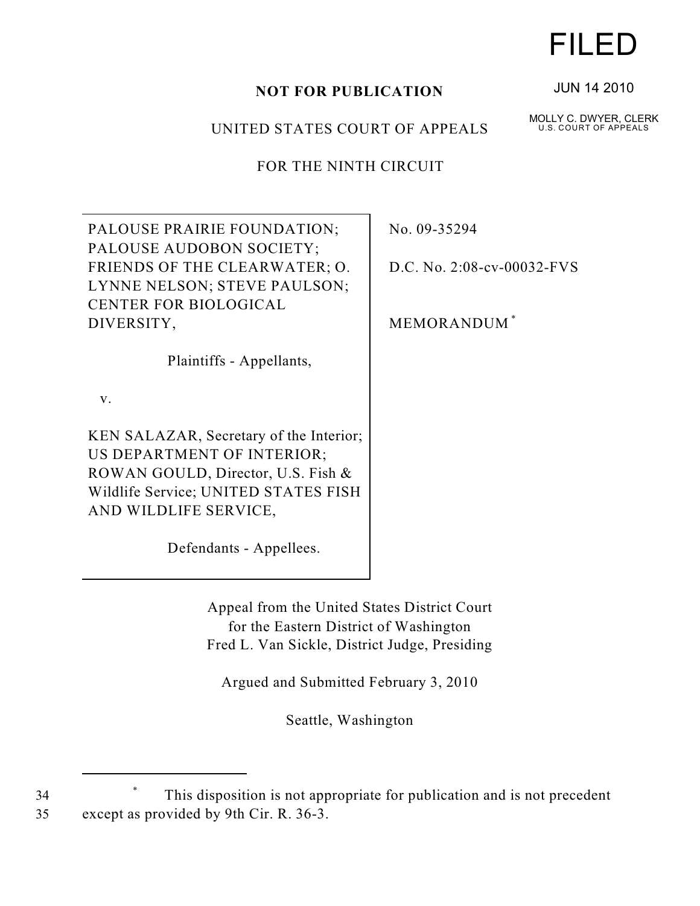## **NOT FOR PUBLICATION**

## UNITED STATES COURT OF APPEALS

FOR THE NINTH CIRCUIT

| PALOUSE PRAIRIE FOUNDATION;             | No. 09-35294               |
|-----------------------------------------|----------------------------|
| PALOUSE AUDOBON SOCIETY;                |                            |
| FRIENDS OF THE CLEARWATER; O.           | D.C. No. 2:08-cv-00032-FVS |
| LYNNE NELSON; STEVE PAULSON;            |                            |
| CENTER FOR BIOLOGICAL                   |                            |
| DIVERSITY,                              | MEMORANDUM <sup>*</sup>    |
| Plaintiffs - Appellants,                |                            |
| $V_{\cdot}$                             |                            |
| KEN SALAZAR, Secretary of the Interior; |                            |
| US DEPARTMENT OF INTERIOR;              |                            |
| ROWAN GOULD, Director, U.S. Fish &      |                            |
| Wildlife Service; UNITED STATES FISH    |                            |
| AND WILDLIFE SERVICE,                   |                            |
| Defendants - Appellees.                 |                            |

Appeal from the United States District Court for the Eastern District of Washington Fred L. Van Sickle, District Judge, Presiding

Argued and Submitted February 3, 2010

Seattle, Washington

34 This disposition is not appropriate for publication and is not precedent \* 35 except as provided by 9th Cir. R. 36-3.

## FILED

JUN 14 2010

MOLLY C. DWYER, CLERK U.S. COURT OF APPEALS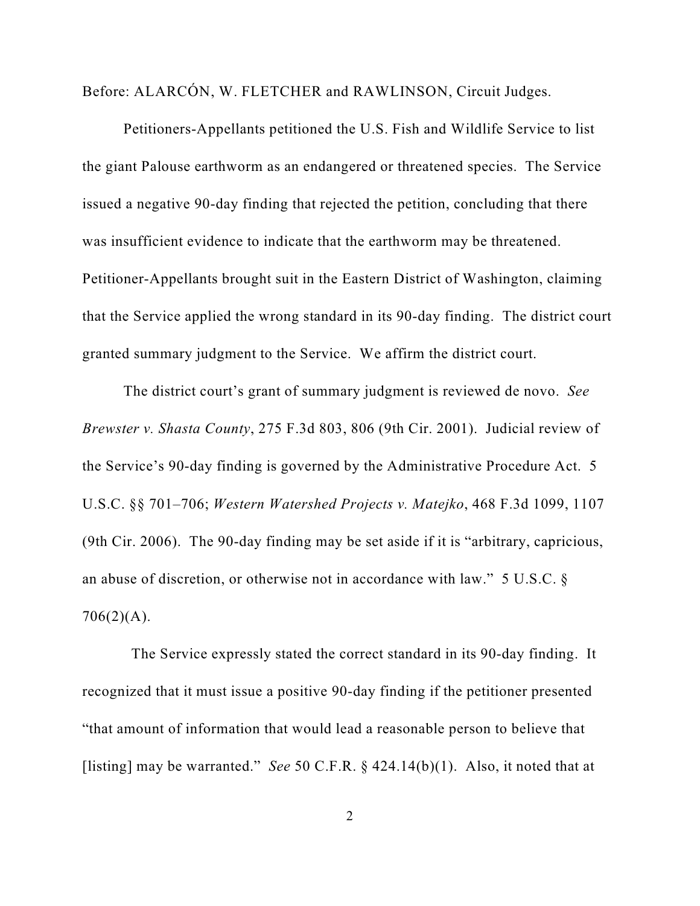Before: ALARCÓN, W. FLETCHER and RAWLINSON, Circuit Judges.

Petitioners-Appellants petitioned the U.S. Fish and Wildlife Service to list the giant Palouse earthworm as an endangered or threatened species. The Service issued a negative 90-day finding that rejected the petition, concluding that there was insufficient evidence to indicate that the earthworm may be threatened. Petitioner-Appellants brought suit in the Eastern District of Washington, claiming that the Service applied the wrong standard in its 90-day finding. The district court granted summary judgment to the Service. We affirm the district court.

The district court's grant of summary judgment is reviewed de novo. *See Brewster v. Shasta County*, 275 F.3d 803, 806 (9th Cir. 2001). Judicial review of the Service's 90-day finding is governed by the Administrative Procedure Act. 5 U.S.C. §§ 701–706; *Western Watershed Projects v. Matejko*, 468 F.3d 1099, 1107 (9th Cir. 2006). The 90-day finding may be set aside if it is "arbitrary, capricious, an abuse of discretion, or otherwise not in accordance with law." 5 U.S.C. §  $706(2)(A)$ .

 The Service expressly stated the correct standard in its 90-day finding. It recognized that it must issue a positive 90-day finding if the petitioner presented "that amount of information that would lead a reasonable person to believe that [listing] may be warranted." *See* 50 C.F.R. § 424.14(b)(1). Also, it noted that at